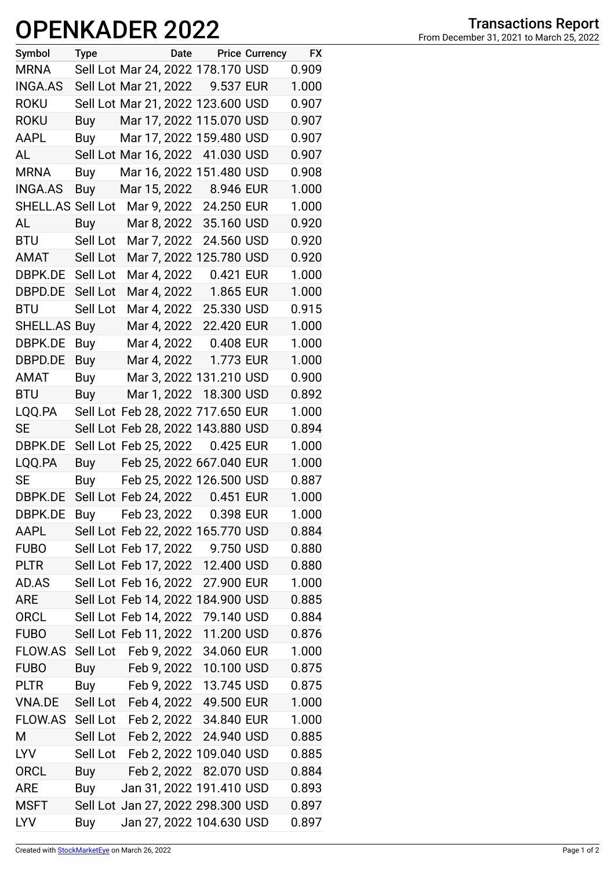## **OPENKADER 2022**

| Symbol            | <b>Type</b> |                       | Date Price Currency               | <b>FX</b> |
|-------------------|-------------|-----------------------|-----------------------------------|-----------|
| <b>MRNA</b>       |             |                       | Sell Lot Mar 24, 2022 178.170 USD | 0.909     |
| <b>INGA.AS</b>    |             |                       | Sell Lot Mar 21, 2022 9.537 EUR   | 1.000     |
| <b>ROKU</b>       |             |                       | Sell Lot Mar 21, 2022 123.600 USD | 0.907     |
| <b>ROKU</b>       | Buy         |                       | Mar 17, 2022 115.070 USD          | 0.907     |
| <b>AAPL</b>       | Buy         |                       | Mar 17, 2022 159.480 USD          | 0.907     |
| AL                |             |                       | Sell Lot Mar 16, 2022 41.030 USD  | 0.907     |
| <b>MRNA</b>       | Buy         |                       | Mar 16, 2022 151.480 USD          | 0.908     |
| <b>INGA.AS</b>    |             |                       | Buy Mar 15, 2022 8.946 EUR        | 1.000     |
| SHELL.AS Sell Lot |             |                       | Mar 9, 2022 24.250 EUR            | 1.000     |
| AL                | <b>Buy</b>  | Mar 8, 2022           | 35.160 USD                        | 0.920     |
| <b>BTU</b>        | Sell Lot    | Mar 7, 2022           | 24.560 USD                        | 0.920     |
| AMAT              | Sell Lot    |                       | Mar 7, 2022 125.780 USD           | 0.920     |
| DBPK.DE           | Sell Lot    |                       | Mar 4, 2022 0.421 EUR             | 1.000     |
| DBPD.DE           | Sell Lot    | Mar 4, 2022           | 1.865 EUR                         | 1.000     |
| <b>BTU</b>        | Sell Lot    | Mar 4, 2022           | 25.330 USD                        | 0.915     |
| SHELL.AS Buy      |             | Mar 4, 2022           | 22.420 EUR                        | 1.000     |
| DBPK.DE           | Buy         | Mar 4, 2022           | 0.408 EUR                         | 1.000     |
| DBPD.DE           | Buy         | Mar 4, 2022           | 1.773 EUR                         | 1.000     |
| AMAT              | Buy         |                       | Mar 3, 2022 131.210 USD           | 0.900     |
| <b>BTU</b>        | Buy         |                       | Mar 1, 2022 18.300 USD            | 0.892     |
| LQQ.PA            |             |                       | Sell Lot Feb 28, 2022 717.650 EUR | 1.000     |
| SE                |             |                       | Sell Lot Feb 28, 2022 143.880 USD | 0.894     |
| DBPK.DE           |             | Sell Lot Feb 25, 2022 | 0.425 EUR                         | 1.000     |
| LQQ.PA            | Buy         |                       | Feb 25, 2022 667.040 EUR          | 1.000     |
| SE                | Buy         |                       | Feb 25, 2022 126.500 USD          | 0.887     |
| DBPK.DE           |             |                       | Sell Lot Feb 24, 2022 0.451 EUR   | 1.000     |
| DBPK.DE           |             | Buy Feb 23, 2022      | 0.398 EUR                         | 1.000     |
| AAPL              |             |                       | Sell Lot Feb 22, 2022 165.770 USD | 0.884     |
| <b>FUBO</b>       |             |                       | Sell Lot Feb 17, 2022 9.750 USD   | 0.880     |
| <b>PLTR</b>       |             | Sell Lot Feb 17, 2022 | 12.400 USD                        | 0.880     |
| AD.AS             |             | Sell Lot Feb 16, 2022 | 27.900 EUR                        | 1.000     |
| ARE               |             |                       | Sell Lot Feb 14, 2022 184.900 USD | 0.885     |
| <b>ORCL</b>       |             |                       | Sell Lot Feb 14, 2022 79.140 USD  | 0.884     |
| <b>FUBO</b>       |             | Sell Lot Feb 11, 2022 | 11.200 USD                        | 0.876     |
| <b>FLOW.AS</b>    |             |                       | Sell Lot Feb 9, 2022 34.060 EUR   | 1.000     |
| <b>FUBO</b>       | Buy         |                       | Feb 9, 2022 10.100 USD            | 0.875     |
| <b>PLTR</b>       | Buy         | Feb 9, 2022           | 13.745 USD                        | 0.875     |
| <b>VNA.DE</b>     |             |                       | Sell Lot Feb 4, 2022 49.500 EUR   | 1.000     |
| FLOW.AS           |             |                       | Sell Lot Feb 2, 2022 34.840 EUR   | 1.000     |
| M                 | Sell Lot    |                       | Feb 2, 2022 24.940 USD            | 0.885     |
| <b>LYV</b>        | Sell Lot    |                       | Feb 2, 2022 109.040 USD           | 0.885     |
| <b>ORCL</b>       | Buy         | Feb 2, 2022           | 82.070 USD                        | 0.884     |
| <b>ARE</b>        | Buy         |                       | Jan 31, 2022 191.410 USD          | 0.893     |
| <b>MSFT</b>       |             |                       | Sell Lot Jan 27, 2022 298.300 USD | 0.897     |
| <b>LYV</b>        | Buy         |                       | Jan 27, 2022 104.630 USD          | 0.897     |